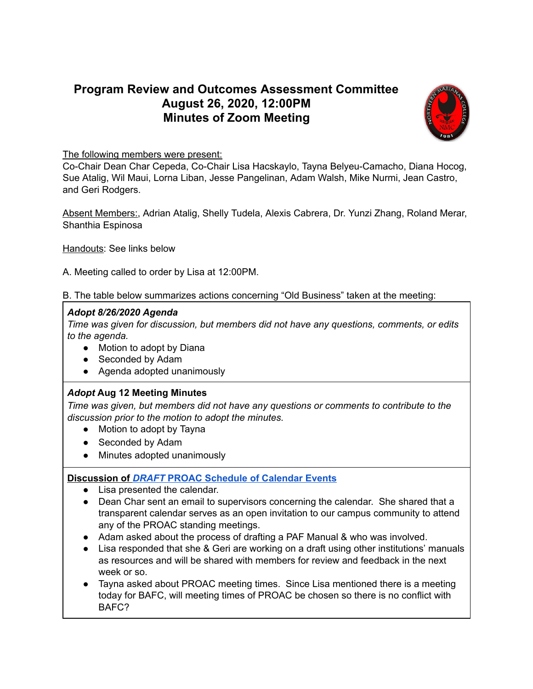# **Program Review and Outcomes Assessment Committee August 26, 2020, 12:00PM Minutes of Zoom Meeting**



### The following members were present:

Co-Chair Dean Char Cepeda, Co-Chair Lisa Hacskaylo, Tayna Belyeu-Camacho, Diana Hocog, Sue Atalig, Wil Maui, Lorna Liban, Jesse Pangelinan, Adam Walsh, Mike Nurmi, Jean Castro, and Geri Rodgers.

Absent Members:, Adrian Atalig, Shelly Tudela, Alexis Cabrera, Dr. Yunzi Zhang, Roland Merar, Shanthia Espinosa

Handouts: See links below

A. Meeting called to order by Lisa at 12:00PM.

B. The table below summarizes actions concerning "Old Business" taken at the meeting:

#### *Adopt 8/26/2020 Agenda*

*Time was given for discussion, but members did not have any questions, comments, or edits to the agenda.*

- Motion to adopt by Diana
- Seconded by Adam
- Agenda adopted unanimously

## *Adopt* **Aug 12 Meeting Minutes**

*Time was given, but members did not have any questions or comments to contribute to the discussion prior to the motion to adopt the minutes.*

- Motion to adopt by Tayna
- Seconded by Adam
- Minutes adopted unanimously

## **Discussion of** *[DRAFT](https://docs.google.com/document/d/1CgzJB8-oeOrWIhIOckUQTIzA32bVOuq9gjvSGRkfJl0/edit)* **PROAC [Schedule](https://docs.google.com/document/d/1CgzJB8-oeOrWIhIOckUQTIzA32bVOuq9gjvSGRkfJl0/edit) of Calendar Events**

- Lisa presented the calendar.
- Dean Char sent an email to supervisors concerning the calendar. She shared that a transparent calendar serves as an open invitation to our campus community to attend any of the PROAC standing meetings.
- Adam asked about the process of drafting a PAF Manual & who was involved.
- Lisa responded that she & Geri are working on a draft using other institutions' manuals as resources and will be shared with members for review and feedback in the next week or so.
- Tayna asked about PROAC meeting times. Since Lisa mentioned there is a meeting today for BAFC, will meeting times of PROAC be chosen so there is no conflict with BAFC?